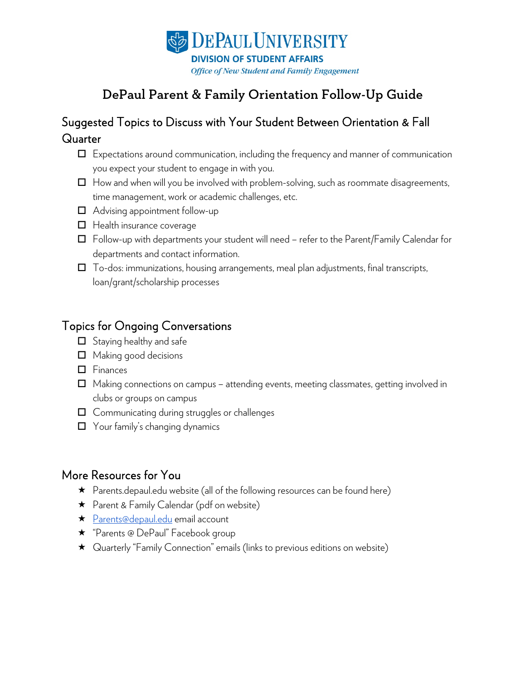

# DePaul Parent & Family Orientation Follow-Up Guide

## Suggested Topics to Discuss with Your Student Between Orientation & Fall **Quarter**

- $\Box$  Expectations around communication, including the frequency and manner of communication you expect your student to engage in with you.
- $\Box$  How and when will you be involved with problem-solving, such as roommate disagreements, time management, work or academic challenges, etc.
- □ Advising appointment follow-up
- $\Box$  Health insurance coverage
- $\Box$  Follow-up with departments your student will need refer to the Parent/Family Calendar for departments and contact information.
- $\Box$  To-dos: immunizations, housing arrangements, meal plan adjustments, final transcripts, loan/grant/scholarship processes

#### Topics for Ongoing Conversations

- $\Box$  Staying healthy and safe
- $\Box$  Making good decisions
- $\Box$  Finances
- $\Box$  Making connections on campus attending events, meeting classmates, getting involved in clubs or groups on campus
- $\Box$  Communicating during struggles or challenges
- □ Your family's changing dynamics

#### More Resources for You

- $\star$  Parents.depaul.edu website (all of the following resources can be found here)
- ★ Parent & Family Calendar (pdf on website)
- ★ [Parents@depaul.edu](mailto:Parents@depaul.edu) email account
- **★** "Parents @ DePaul" Facebook group
- Quarterly "Family Connection" emails (links to previous editions on website)